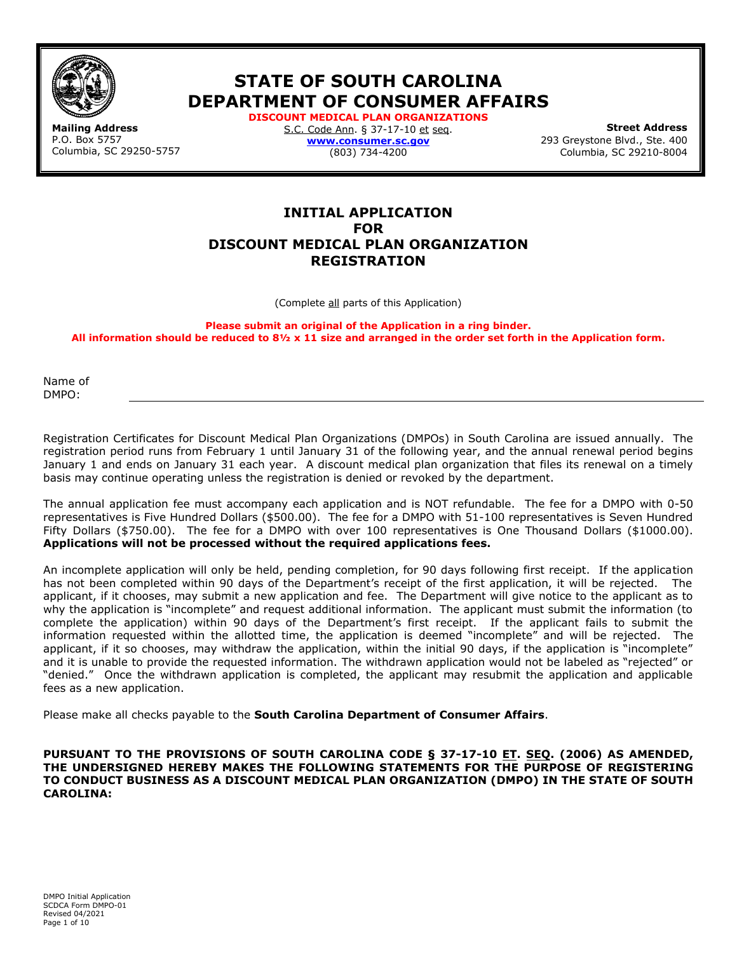

**STATE OF SOUTH CAROLINA DEPARTMENT OF CONSUMER AFFAIRS DISCOUNT MEDICAL PLAN ORGANIZATIONS** 

**Mailing Address** P.O. Box 5757 Columbia, SC 29250-5757 S.C. Code Ann. § 37-17-10 et seq. **[www.consumer.sc.gov](http://www.consumer.sc.gov/)** (803) 734-4200

**Street Address**  293 Greystone Blvd., Ste. 400 Columbia, SC 29210-8004

# **INITIAL APPLICATION FOR DISCOUNT MEDICAL PLAN ORGANIZATION REGISTRATION**

(Complete all parts of this Application)

**Please submit an original of the Application in a ring binder. All information should be reduced to 8½ x 11 size and arranged in the order set forth in the Application form.**

Name of DMPO:

Registration Certificates for Discount Medical Plan Organizations (DMPOs) in South Carolina are issued annually. The registration period runs from February 1 until January 31 of the following year, and the annual renewal period begins January 1 and ends on January 31 each year. A discount medical plan organization that files its renewal on a timely basis may continue operating unless the registration is denied or revoked by the department.

The annual application fee must accompany each application and is NOT refundable. The fee for a DMPO with 0-50 representatives is Five Hundred Dollars (\$500.00). The fee for a DMPO with 51-100 representatives is Seven Hundred Fifty Dollars (\$750.00). The fee for a DMPO with over 100 representatives is One Thousand Dollars (\$1000.00). **Applications will not be processed without the required applications fees.**

An incomplete application will only be held, pending completion, for 90 days following first receipt. If the application has not been completed within 90 days of the Department's receipt of the first application, it will be rejected. The applicant, if it chooses, may submit a new application and fee. The Department will give notice to the applicant as to why the application is "incomplete" and request additional information. The applicant must submit the information (to complete the application) within 90 days of the Department's first receipt. If the applicant fails to submit the information requested within the allotted time, the application is deemed "incomplete" and will be rejected. The applicant, if it so chooses, may withdraw the application, within the initial 90 days, if the application is "incomplete" and it is unable to provide the requested information. The withdrawn application would not be labeled as "rejected" or "denied." Once the withdrawn application is completed, the applicant may resubmit the application and applicable fees as a new application.

Please make all checks payable to the **South Carolina Department of Consumer Affairs**.

**PURSUANT TO THE PROVISIONS OF SOUTH CAROLINA CODE § 37-17-10 ET. SEQ. (2006) AS AMENDED, THE UNDERSIGNED HEREBY MAKES THE FOLLOWING STATEMENTS FOR THE PURPOSE OF REGISTERING TO CONDUCT BUSINESS AS A DISCOUNT MEDICAL PLAN ORGANIZATION (DMPO) IN THE STATE OF SOUTH CAROLINA:**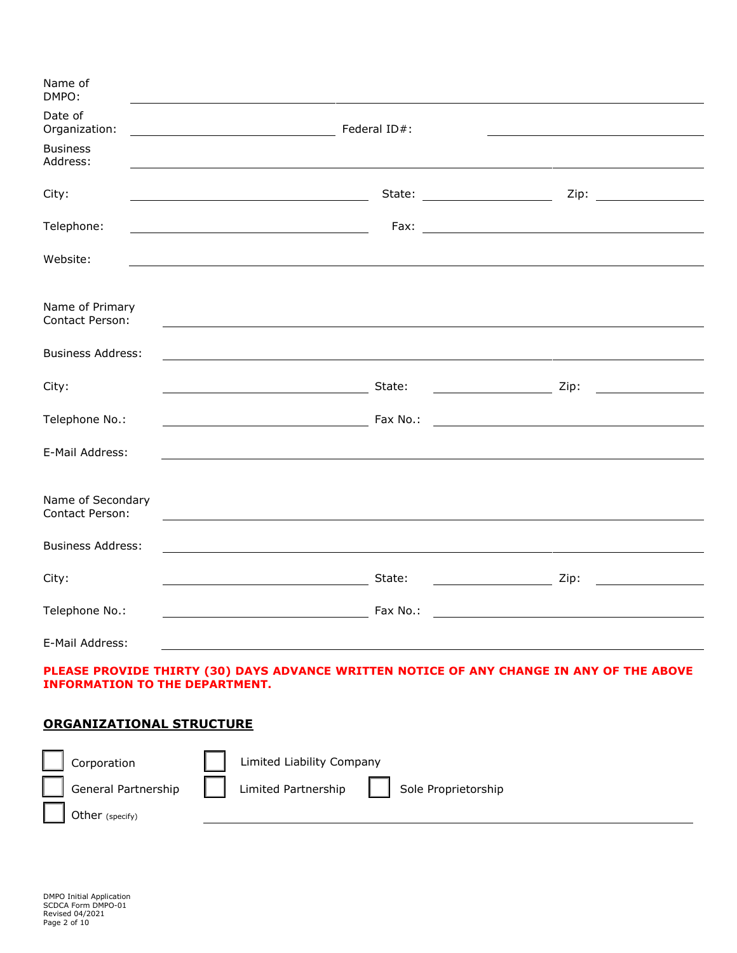| Name of<br>DMPO:                                                    |                                                                           |                                                                                                                                                                                                                                                                                                                                                                                                                                                                                 |  |
|---------------------------------------------------------------------|---------------------------------------------------------------------------|---------------------------------------------------------------------------------------------------------------------------------------------------------------------------------------------------------------------------------------------------------------------------------------------------------------------------------------------------------------------------------------------------------------------------------------------------------------------------------|--|
| Date of<br>Organization:<br><u> 1989 - Johann Barbara, martin a</u> | Federal ID#:                                                              |                                                                                                                                                                                                                                                                                                                                                                                                                                                                                 |  |
| <b>Business</b><br>Address:                                         |                                                                           |                                                                                                                                                                                                                                                                                                                                                                                                                                                                                 |  |
| City:                                                               | State: ________________________                                           |                                                                                                                                                                                                                                                                                                                                                                                                                                                                                 |  |
| Telephone:                                                          | <u> 1989 - Johann Barnett, fransk politiker (d. 1989)</u>                 |                                                                                                                                                                                                                                                                                                                                                                                                                                                                                 |  |
| Website:                                                            |                                                                           |                                                                                                                                                                                                                                                                                                                                                                                                                                                                                 |  |
| Name of Primary<br>Contact Person:                                  |                                                                           |                                                                                                                                                                                                                                                                                                                                                                                                                                                                                 |  |
| <b>Business Address:</b>                                            |                                                                           |                                                                                                                                                                                                                                                                                                                                                                                                                                                                                 |  |
| City:                                                               | State:<br><u> 1989 - Johann Barn, mars an t-Amerikaansk kommunister (</u> | Zip:                                                                                                                                                                                                                                                                                                                                                                                                                                                                            |  |
| Telephone No.:                                                      |                                                                           |                                                                                                                                                                                                                                                                                                                                                                                                                                                                                 |  |
| E-Mail Address:                                                     |                                                                           |                                                                                                                                                                                                                                                                                                                                                                                                                                                                                 |  |
| Name of Secondary<br>Contact Person:                                |                                                                           |                                                                                                                                                                                                                                                                                                                                                                                                                                                                                 |  |
| <b>Business Address:</b>                                            |                                                                           |                                                                                                                                                                                                                                                                                                                                                                                                                                                                                 |  |
| City:                                                               | State:                                                                    | $\overline{\phantom{a}}$ $\overline{\phantom{a}}$ $\overline{\phantom{a}}$ $\overline{\phantom{a}}$ $\overline{\phantom{a}}$ $\overline{\phantom{a}}$ $\overline{\phantom{a}}$ $\overline{\phantom{a}}$ $\overline{\phantom{a}}$ $\overline{\phantom{a}}$ $\overline{\phantom{a}}$ $\overline{\phantom{a}}$ $\overline{\phantom{a}}$ $\overline{\phantom{a}}$ $\overline{\phantom{a}}$ $\overline{\phantom{a}}$ $\overline{\phantom{a}}$ $\overline{\phantom{a}}$ $\overline{\$ |  |
| Telephone No.:                                                      | Fax No.:                                                                  | <u> 1989 - Johann Barbara, martxa alemaniar a</u>                                                                                                                                                                                                                                                                                                                                                                                                                               |  |
| E-Mail Address:                                                     |                                                                           |                                                                                                                                                                                                                                                                                                                                                                                                                                                                                 |  |

## **PLEASE PROVIDE THIRTY (30) DAYS ADVANCE WRITTEN NOTICE OF ANY CHANGE IN ANY OF THE ABOVE INFORMATION TO THE DEPARTMENT.**

# **ORGANIZATIONAL STRUCTURE**

| Corporation         | Limited Liability Company                  |  |
|---------------------|--------------------------------------------|--|
| General Partnership | Limited Partnership<br>Sole Proprietorship |  |
| Other (specify)     |                                            |  |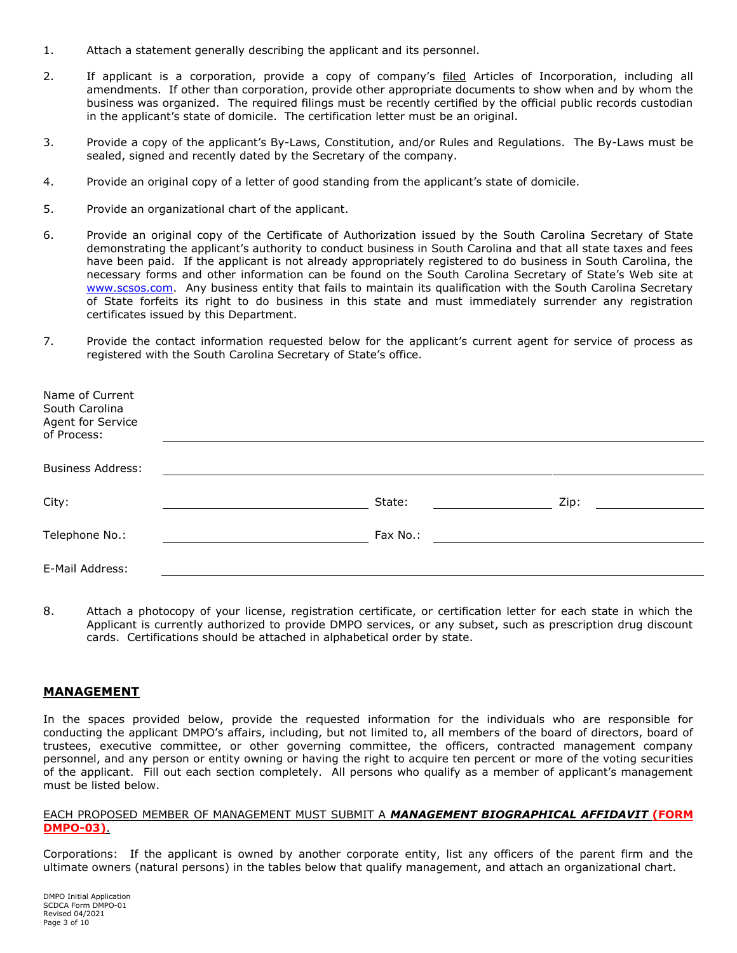- 1. Attach a statement generally describing the applicant and its personnel.
- 2. If applicant is a corporation, provide a copy of company's filed Articles of Incorporation, including all amendments. If other than corporation, provide other appropriate documents to show when and by whom the business was organized. The required filings must be recently certified by the official public records custodian in the applicant's state of domicile. The certification letter must be an original.
- 3. Provide a copy of the applicant's By-Laws, Constitution, and/or Rules and Regulations. The By-Laws must be sealed, signed and recently dated by the Secretary of the company.
- 4. Provide an original copy of a letter of good standing from the applicant's state of domicile.
- 5. Provide an organizational chart of the applicant.
- 6. Provide an original copy of the Certificate of Authorization issued by the South Carolina Secretary of State demonstrating the applicant's authority to conduct business in South Carolina and that all state taxes and fees have been paid. If the applicant is not already appropriately registered to do business in South Carolina, the necessary forms and other information can be found on the South Carolina Secretary of State's Web site at [www.scsos.com.](http://www.scsos.com/) Any business entity that fails to maintain its qualification with the South Carolina Secretary of State forfeits its right to do business in this state and must immediately surrender any registration certificates issued by this Department.
- 7. Provide the contact information requested below for the applicant's current agent for service of process as registered with the South Carolina Secretary of State's office.

| Name of Current<br>South Carolina<br>Agent for Service<br>of Process: |          |      |
|-----------------------------------------------------------------------|----------|------|
|                                                                       |          |      |
| <b>Business Address:</b>                                              |          |      |
|                                                                       |          |      |
| City:                                                                 | State:   | Zip: |
|                                                                       |          |      |
| Telephone No.:                                                        | Fax No.: |      |
|                                                                       |          |      |
| E-Mail Address:                                                       |          |      |
|                                                                       |          |      |

8. Attach a photocopy of your license, registration certificate, or certification letter for each state in which the Applicant is currently authorized to provide DMPO services, or any subset, such as prescription drug discount cards. Certifications should be attached in alphabetical order by state.

#### **MANAGEMENT**

In the spaces provided below, provide the requested information for the individuals who are responsible for conducting the applicant DMPO's affairs, including, but not limited to, all members of the board of directors, board of trustees, executive committee, or other governing committee, the officers, contracted management company personnel, and any person or entity owning or having the right to acquire ten percent or more of the voting securities of the applicant. Fill out each section completely. All persons who qualify as a member of applicant's management must be listed below.

#### EACH PROPOSED MEMBER OF MANAGEMENT MUST SUBMIT A *MANAGEMENT BIOGRAPHICAL AFFIDAVIT* **(FORM DMPO-03)**.

Corporations: If the applicant is owned by another corporate entity, list any officers of the parent firm and the ultimate owners (natural persons) in the tables below that qualify management, and attach an organizational chart.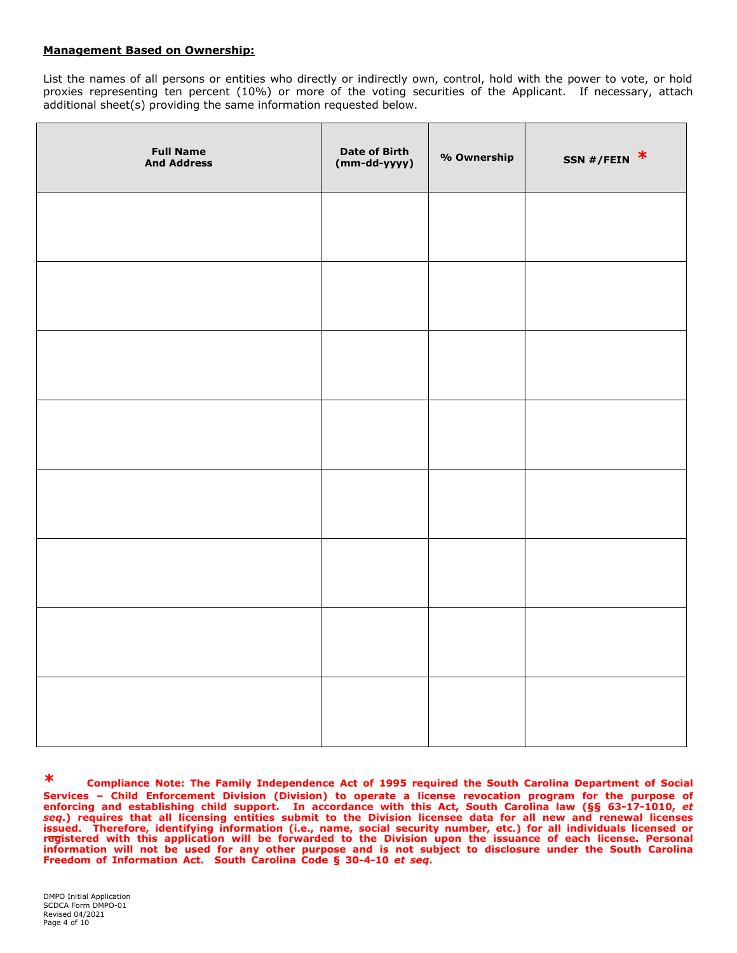#### **Management Based on Ownership:**

List the names of all persons or entities who directly or indirectly own, control, hold with the power to vote, or hold proxies representing ten percent (10%) or more of the voting securities of the Applicant. If necessary, attach additional sheet(s) providing the same information requested below.

| <b>Full Name</b><br><b>And Address</b> | <b>Date of Birth</b><br>(mm-dd-yyyy) | % Ownership | SSN #/FEIN $*$ |
|----------------------------------------|--------------------------------------|-------------|----------------|
|                                        |                                      |             |                |
|                                        |                                      |             |                |
|                                        |                                      |             |                |
|                                        |                                      |             |                |
|                                        |                                      |             |                |
|                                        |                                      |             |                |
|                                        |                                      |             |                |
|                                        |                                      |             |                |

**\* Compliance Note: The Family Independence Act of 1995 required the South Carolina Department of Social Services – Child Enforcement Division (Division) to operate a license revocation program for the purpose of enforcing and establishing child support. In accordance with this Act, South Carolina law (§§ 63-17-1010,** *et seq***.) requires that all licensing entities submit to the Division licensee data for all new and renewal licenses issued. Therefore, identifying information (i.e., name, social security number, etc.) for all individuals licensed or registered with this application will be forwarded to the Division upon the issuance of each license. Personal information will not be used for any other purpose and is not subject to disclosure under the South Carolina Freedom of Information Act. South Carolina Code § 30-4-10** *et seq***.**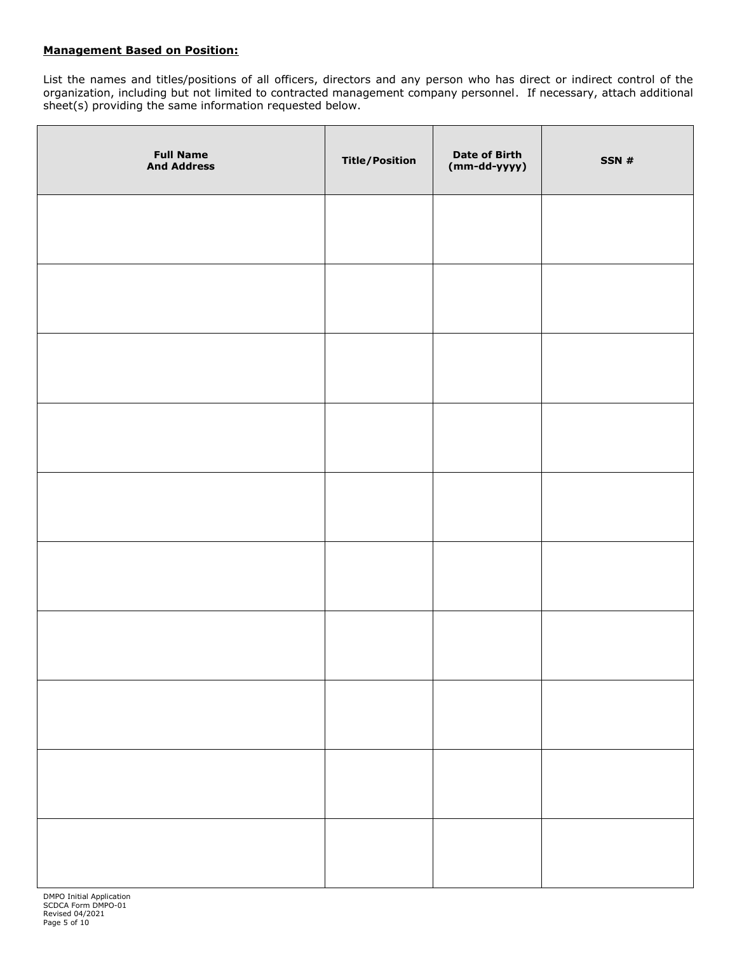### **Management Based on Position:**

List the names and titles/positions of all officers, directors and any person who has direct or indirect control of the organization, including but not limited to contracted management company personnel. If necessary, attach additional sheet(s) providing the same information requested below.

| <b>Full Name</b><br><b>And Address</b> | <b>Title/Position</b> | <b>Date of Birth</b><br>(mm-dd-yyyy) | SSN# |
|----------------------------------------|-----------------------|--------------------------------------|------|
|                                        |                       |                                      |      |
|                                        |                       |                                      |      |
|                                        |                       |                                      |      |
|                                        |                       |                                      |      |
|                                        |                       |                                      |      |
|                                        |                       |                                      |      |
|                                        |                       |                                      |      |
|                                        |                       |                                      |      |
|                                        |                       |                                      |      |
|                                        |                       |                                      |      |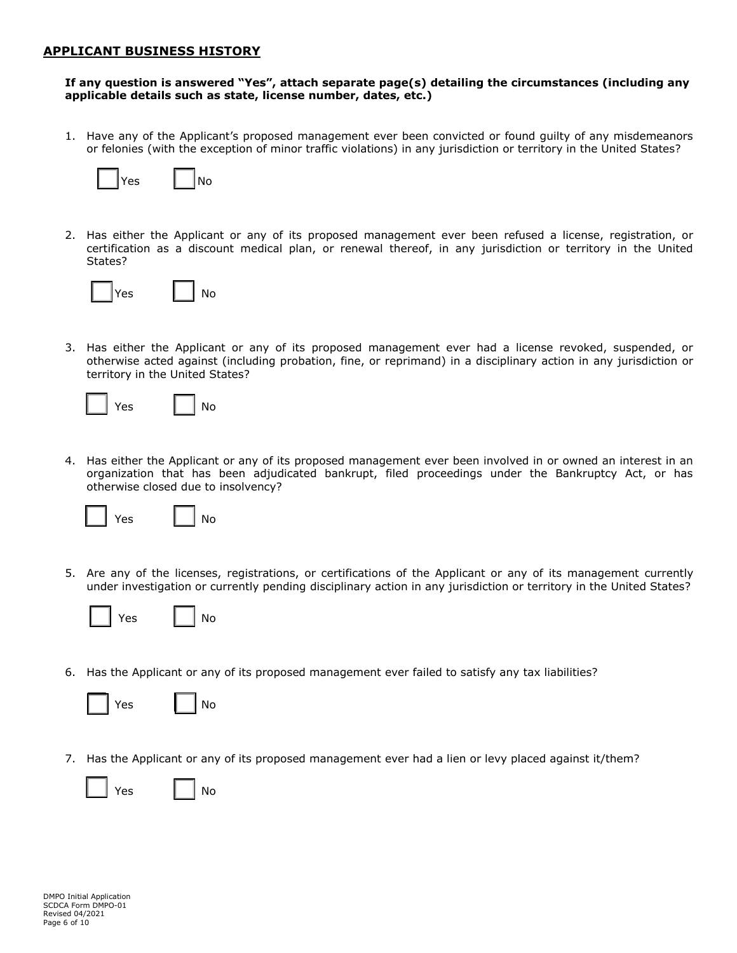## **APPLICANT BUSINESS HISTORY**

#### **If any question is answered "Yes", attach separate page(s) detailing the circumstances (including any applicable details such as state, license number, dates, etc.)**

1. Have any of the Applicant's proposed management ever been convicted or found guilty of any misdemeanors or felonies (with the exception of minor traffic violations) in any jurisdiction or territory in the United States?



2. Has either the Applicant or any of its proposed management ever been refused a license, registration, or certification as a discount medical plan, or renewal thereof, in any jurisdiction or territory in the United States?



3. Has either the Applicant or any of its proposed management ever had a license revoked, suspended, or otherwise acted against (including probation, fine, or reprimand) in a disciplinary action in any jurisdiction or territory in the United States?



4. Has either the Applicant or any of its proposed management ever been involved in or owned an interest in an organization that has been adjudicated bankrupt, filed proceedings under the Bankruptcy Act, or has otherwise closed due to insolvency?



5. Are any of the licenses, registrations, or certifications of the Applicant or any of its management currently under investigation or currently pending disciplinary action in any jurisdiction or territory in the United States?

| ρς |  |
|----|--|
|----|--|

6. Has the Applicant or any of its proposed management ever failed to satisfy any tax liabilities?

| <b>Yes</b> |  | No |
|------------|--|----|
|            |  |    |

No

7. Has the Applicant or any of its proposed management ever had a lien or levy placed against it/them?

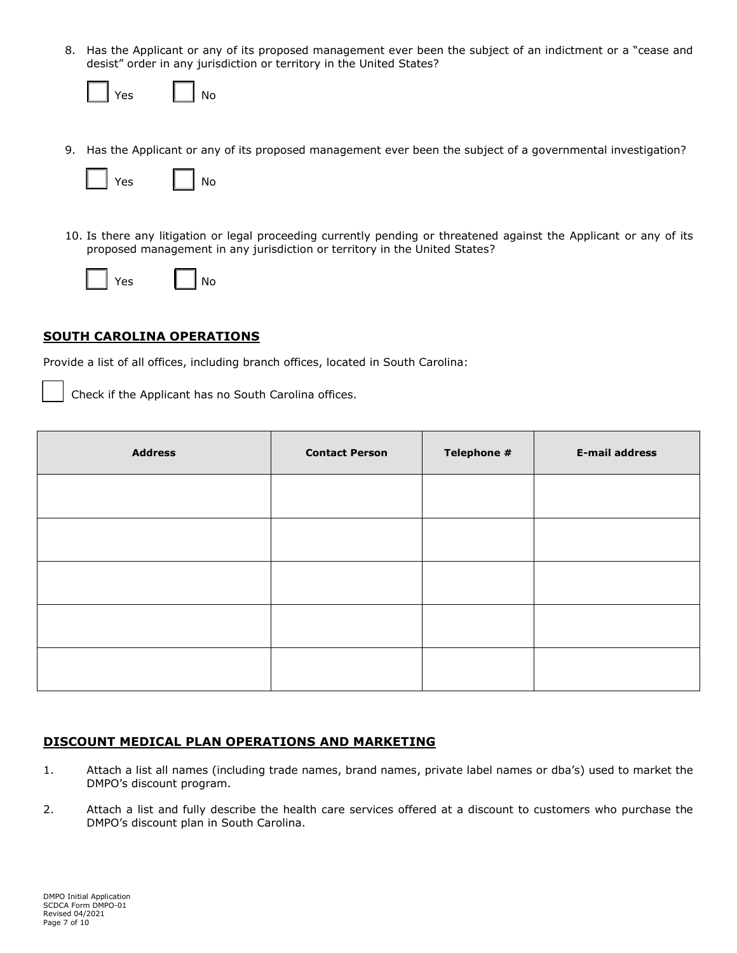8. Has the Applicant or any of its proposed management ever been the subject of an indictment or a "cease and desist" order in any jurisdiction or territory in the United States?

| Yes. | Nο |
|------|----|
|------|----|

9. Has the Applicant or any of its proposed management ever been the subject of a governmental investigation?



10. Is there any litigation or legal proceeding currently pending or threatened against the Applicant or any of its proposed management in any jurisdiction or territory in the United States?





## **SOUTH CAROLINA OPERATIONS**

Provide a list of all offices, including branch offices, located in South Carolina:

Check if the Applicant has no South Carolina offices.

| <b>Address</b> | <b>Contact Person</b> | Telephone # | <b>E-mail address</b> |
|----------------|-----------------------|-------------|-----------------------|
|                |                       |             |                       |
|                |                       |             |                       |
|                |                       |             |                       |
|                |                       |             |                       |
|                |                       |             |                       |

## **DISCOUNT MEDICAL PLAN OPERATIONS AND MARKETING**

- 1. Attach a list all names (including trade names, brand names, private label names or dba's) used to market the DMPO's discount program.
- 2. Attach a list and fully describe the health care services offered at a discount to customers who purchase the DMPO's discount plan in South Carolina.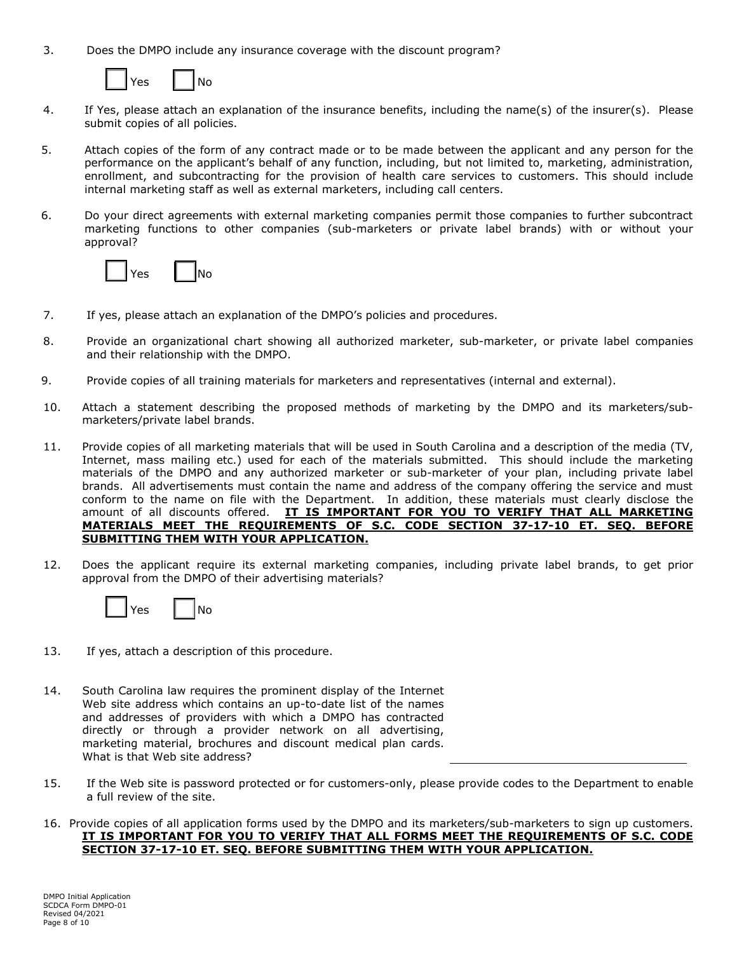3. Does the DMPO include any insurance coverage with the discount program?



- 4. If Yes, please attach an explanation of the insurance benefits, including the name(s) of the insurer(s). Please submit copies of all policies.
- 5. Attach copies of the form of any contract made or to be made between the applicant and any person for the performance on the applicant's behalf of any function, including, but not limited to, marketing, administration, enrollment, and subcontracting for the provision of health care services to customers. This should include internal marketing staff as well as external marketers, including call centers.
- 6. Do your direct agreements with external marketing companies permit those companies to further subcontract marketing functions to other companies (sub-marketers or private label brands) with or without your approval?



- 7. If yes, please attach an explanation of the DMPO's policies and procedures.
- 8. Provide an organizational chart showing all authorized marketer, sub-marketer, or private label companies and their relationship with the DMPO.
- 9. Provide copies of all training materials for marketers and representatives (internal and external).
- 10. Attach a statement describing the proposed methods of marketing by the DMPO and its marketers/submarketers/private label brands.
- 11. Provide copies of all marketing materials that will be used in South Carolina and a description of the media (TV, Internet, mass mailing etc.) used for each of the materials submitted. This should include the marketing materials of the DMPO and any authorized marketer or sub-marketer of your plan, including private label brands. All advertisements must contain the name and address of the company offering the service and must conform to the name on file with the Department. In addition, these materials must clearly disclose the amount of all discounts offered. **IT IS IMPORTANT FOR YOU TO VERIFY THAT ALL MARKETING MATERIALS MEET THE REQUIREMENTS OF S.C. CODE SECTION 37-17-10 ET. SEQ. BEFORE SUBMITTING THEM WITH YOUR APPLICATION.**
- 12. Does the applicant require its external marketing companies, including private label brands, to get prior approval from the DMPO of their advertising materials?



- 13. If yes, attach a description of this procedure.
- 14. South Carolina law requires the prominent display of the Internet Web site address which contains an up-to-date list of the names and addresses of providers with which a DMPO has contracted directly or through a provider network on all advertising, marketing material, brochures and discount medical plan cards. What is that Web site address?
- 15. If the Web site is password protected or for customers-only, please provide codes to the Department to enable a full review of the site.
- 16. Provide copies of all application forms used by the DMPO and its marketers/sub-marketers to sign up customers. **IT IS IMPORTANT FOR YOU TO VERIFY THAT ALL FORMS MEET THE REQUIREMENTS OF S.C. CODE SECTION 37-17-10 ET. SEQ. BEFORE SUBMITTING THEM WITH YOUR APPLICATION.**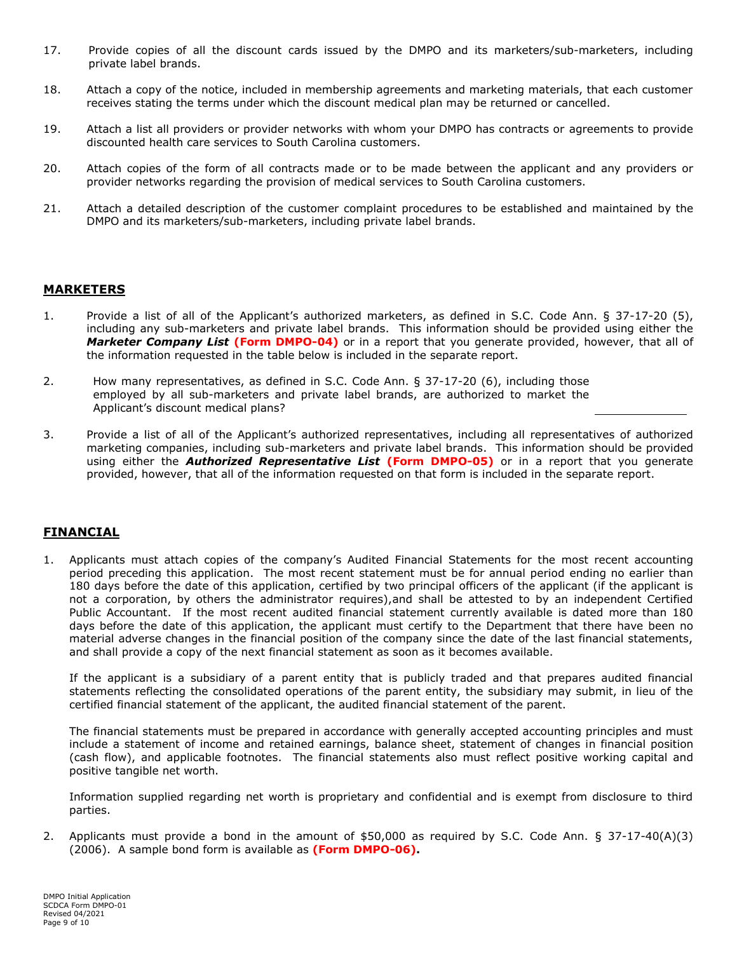- 17. Provide copies of all the discount cards issued by the DMPO and its marketers/sub-marketers, including private label brands.
- 18. Attach a copy of the notice, included in membership agreements and marketing materials, that each customer receives stating the terms under which the discount medical plan may be returned or cancelled.
- 19. Attach a list all providers or provider networks with whom your DMPO has contracts or agreements to provide discounted health care services to South Carolina customers.
- 20. Attach copies of the form of all contracts made or to be made between the applicant and any providers or provider networks regarding the provision of medical services to South Carolina customers.
- 21. Attach a detailed description of the customer complaint procedures to be established and maintained by the DMPO and its marketers/sub-marketers, including private label brands.

## **MARKETERS**

- 1. Provide a list of all of the Applicant's authorized marketers, as defined in S.C. Code Ann. § 37-17-20 (5), including any sub-marketers and private label brands. This information should be provided using either the *Marketer Company List* **(Form DMPO-04)** or in a report that you generate provided, however, that all of the information requested in the table below is included in the separate report.
- 2. How many representatives, as defined in S.C. Code Ann. § 37-17-20 (6), including those employed by all sub-marketers and private label brands, are authorized to market the Applicant's discount medical plans?
- 3. Provide a list of all of the Applicant's authorized representatives, including all representatives of authorized marketing companies, including sub-marketers and private label brands. This information should be provided using either the *Authorized Representative List* **(Form DMPO-05)** or in a report that you generate provided, however, that all of the information requested on that form is included in the separate report.

## **FINANCIAL**

1. Applicants must attach copies of the company's Audited Financial Statements for the most recent accounting period preceding this application. The most recent statement must be for annual period ending no earlier than 180 days before the date of this application, certified by two principal officers of the applicant (if the applicant is not a corporation, by others the administrator requires),and shall be attested to by an independent Certified Public Accountant. If the most recent audited financial statement currently available is dated more than 180 days before the date of this application, the applicant must certify to the Department that there have been no material adverse changes in the financial position of the company since the date of the last financial statements, and shall provide a copy of the next financial statement as soon as it becomes available.

If the applicant is a subsidiary of a parent entity that is publicly traded and that prepares audited financial statements reflecting the consolidated operations of the parent entity, the subsidiary may submit, in lieu of the certified financial statement of the applicant, the audited financial statement of the parent.

The financial statements must be prepared in accordance with generally accepted accounting principles and must include a statement of income and retained earnings, balance sheet, statement of changes in financial position (cash flow), and applicable footnotes. The financial statements also must reflect positive working capital and positive tangible net worth.

Information supplied regarding net worth is proprietary and confidential and is exempt from disclosure to third parties.

2. Applicants must provide a bond in the amount of \$50,000 as required by S.C. Code Ann. § 37-17-40(A)(3) (2006). A sample bond form is available as **(Form DMPO-06).**